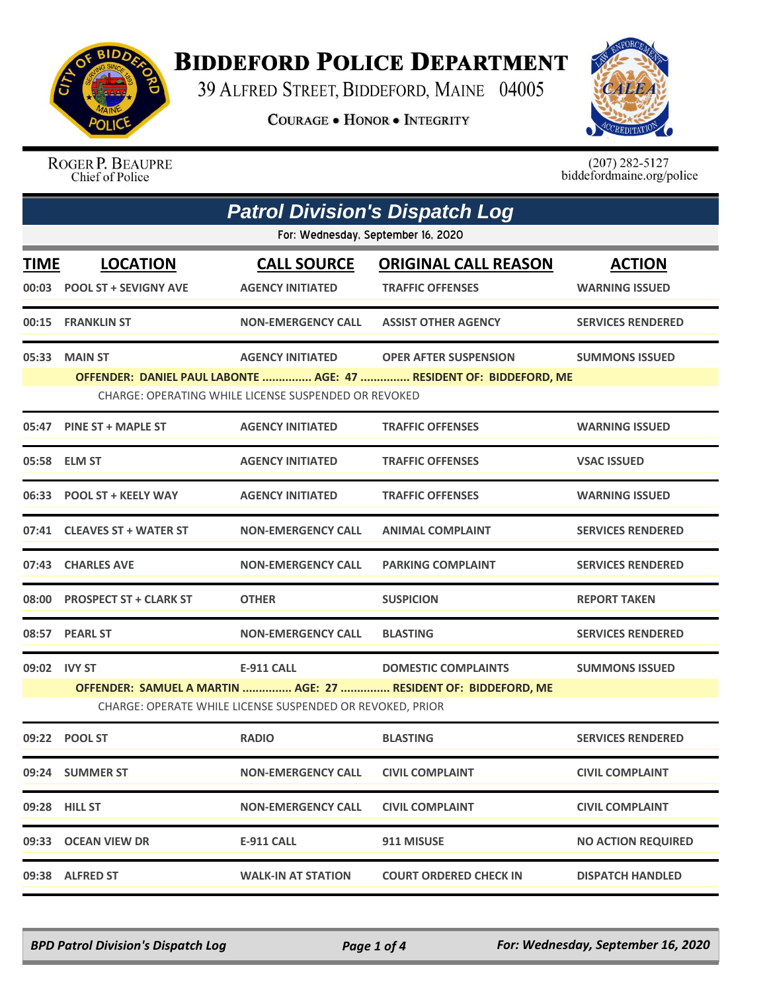

## **BIDDEFORD POLICE DEPARTMENT**

39 ALFRED STREET, BIDDEFORD, MAINE 04005

**COURAGE . HONOR . INTEGRITY** 



ROGER P. BEAUPRE Chief of Police

 $(207)$  282-5127<br>biddefordmaine.org/police

|              | <b>Patrol Division's Dispatch Log</b>                                                                                                                                                                                           |                                                                                |                                                                                              |                                        |  |  |
|--------------|---------------------------------------------------------------------------------------------------------------------------------------------------------------------------------------------------------------------------------|--------------------------------------------------------------------------------|----------------------------------------------------------------------------------------------|----------------------------------------|--|--|
|              | For: Wednesday, September 16, 2020                                                                                                                                                                                              |                                                                                |                                                                                              |                                        |  |  |
| <b>TIME</b>  | <b>LOCATION</b><br>00:03 POOL ST + SEVIGNY AVE                                                                                                                                                                                  | <b>CALL SOURCE</b><br><b>AGENCY INITIATED</b>                                  | <b>ORIGINAL CALL REASON</b><br><b>TRAFFIC OFFENSES</b>                                       | <b>ACTION</b><br><b>WARNING ISSUED</b> |  |  |
|              | 00:15 FRANKLIN ST                                                                                                                                                                                                               | <b>NON-EMERGENCY CALL</b>                                                      | <b>ASSIST OTHER AGENCY</b>                                                                   | <b>SERVICES RENDERED</b>               |  |  |
|              | 05:33 MAIN ST<br><b>AGENCY INITIATED</b><br><b>OPER AFTER SUSPENSION</b><br><b>SUMMONS ISSUED</b><br>OFFENDER: DANIEL PAUL LABONTE  AGE: 47  RESIDENT OF: BIDDEFORD, ME<br>CHARGE: OPERATING WHILE LICENSE SUSPENDED OR REVOKED |                                                                                |                                                                                              |                                        |  |  |
|              | 05:47 PINE ST + MAPLE ST                                                                                                                                                                                                        | <b>AGENCY INITIATED</b>                                                        | <b>TRAFFIC OFFENSES</b>                                                                      | <b>WARNING ISSUED</b>                  |  |  |
|              | 05:58 ELM ST                                                                                                                                                                                                                    | <b>AGENCY INITIATED</b>                                                        | <b>TRAFFIC OFFENSES</b>                                                                      | <b>VSAC ISSUED</b>                     |  |  |
|              | 06:33 POOL ST + KEELY WAY                                                                                                                                                                                                       | <b>AGENCY INITIATED</b>                                                        | <b>TRAFFIC OFFENSES</b>                                                                      | <b>WARNING ISSUED</b>                  |  |  |
|              | 07:41 CLEAVES ST + WATER ST                                                                                                                                                                                                     | <b>NON-EMERGENCY CALL</b>                                                      | <b>ANIMAL COMPLAINT</b>                                                                      | <b>SERVICES RENDERED</b>               |  |  |
| 07:43        | <b>CHARLES AVE</b>                                                                                                                                                                                                              | <b>NON-EMERGENCY CALL</b>                                                      | <b>PARKING COMPLAINT</b>                                                                     | <b>SERVICES RENDERED</b>               |  |  |
|              | 08:00 PROSPECT ST + CLARK ST                                                                                                                                                                                                    | <b>OTHER</b>                                                                   | <b>SUSPICION</b>                                                                             | <b>REPORT TAKEN</b>                    |  |  |
|              | 08:57 PEARL ST                                                                                                                                                                                                                  | <b>NON-EMERGENCY CALL</b>                                                      | <b>BLASTING</b>                                                                              | <b>SERVICES RENDERED</b>               |  |  |
| 09:02 IVY ST |                                                                                                                                                                                                                                 | <b>E-911 CALL</b><br>CHARGE: OPERATE WHILE LICENSE SUSPENDED OR REVOKED, PRIOR | <b>DOMESTIC COMPLAINTS</b><br>OFFENDER: SAMUEL A MARTIN  AGE: 27  RESIDENT OF: BIDDEFORD, ME | <b>SUMMONS ISSUED</b>                  |  |  |
|              | 09:22 POOL ST                                                                                                                                                                                                                   | <b>RADIO</b>                                                                   | <b>BLASTING</b>                                                                              | <b>SERVICES RENDERED</b>               |  |  |
|              | 09:24 SUMMER ST                                                                                                                                                                                                                 | <b>NON-EMERGENCY CALL</b>                                                      | <b>CIVIL COMPLAINT</b>                                                                       | <b>CIVIL COMPLAINT</b>                 |  |  |
|              | 09:28 HILL ST                                                                                                                                                                                                                   | <b>NON-EMERGENCY CALL</b>                                                      | <b>CIVIL COMPLAINT</b>                                                                       | <b>CIVIL COMPLAINT</b>                 |  |  |
|              | 09:33 OCEAN VIEW DR                                                                                                                                                                                                             | <b>E-911 CALL</b>                                                              | 911 MISUSE                                                                                   | <b>NO ACTION REQUIRED</b>              |  |  |
|              | 09:38 ALFRED ST                                                                                                                                                                                                                 | <b>WALK-IN AT STATION</b>                                                      | <b>COURT ORDERED CHECK IN</b>                                                                | <b>DISPATCH HANDLED</b>                |  |  |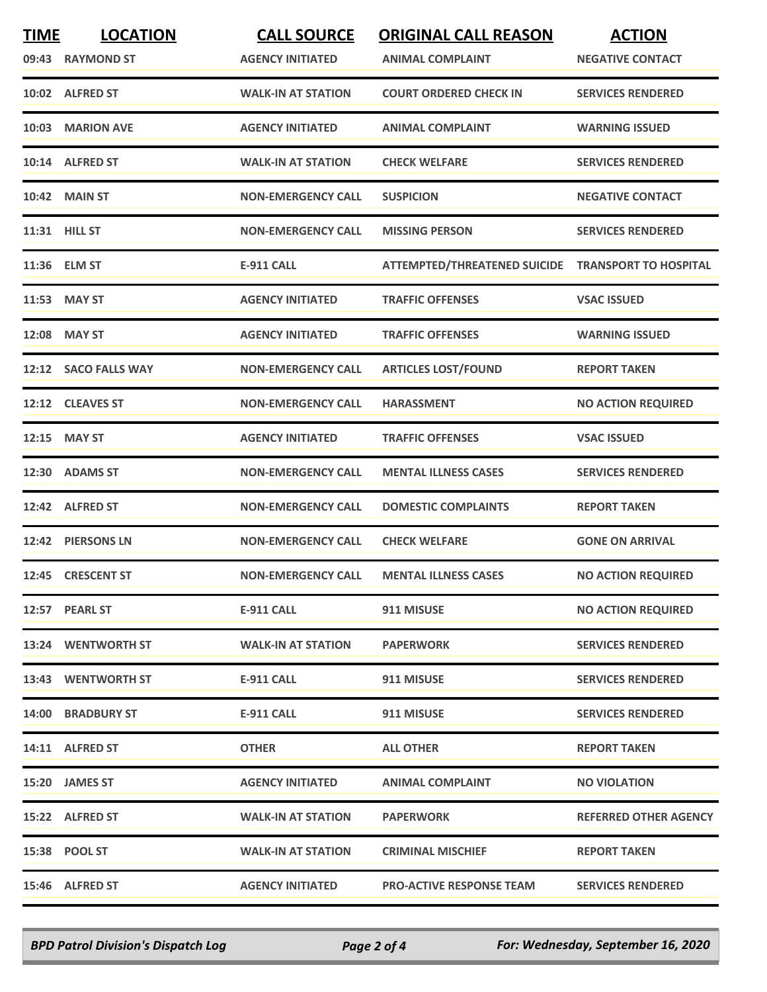| <b>TIME</b> | <b>LOCATION</b>      | <b>CALL SOURCE</b>        | <b>ORIGINAL CALL REASON</b>                        | <b>ACTION</b>                |
|-------------|----------------------|---------------------------|----------------------------------------------------|------------------------------|
|             | 09:43 RAYMOND ST     | <b>AGENCY INITIATED</b>   | <b>ANIMAL COMPLAINT</b>                            | <b>NEGATIVE CONTACT</b>      |
|             | 10:02 ALFRED ST      | <b>WALK-IN AT STATION</b> | <b>COURT ORDERED CHECK IN</b>                      | <b>SERVICES RENDERED</b>     |
|             | 10:03 MARION AVE     | <b>AGENCY INITIATED</b>   | <b>ANIMAL COMPLAINT</b>                            | <b>WARNING ISSUED</b>        |
|             | 10:14 ALFRED ST      | <b>WALK-IN AT STATION</b> | <b>CHECK WELFARE</b>                               | <b>SERVICES RENDERED</b>     |
|             | 10:42 MAIN ST        | <b>NON-EMERGENCY CALL</b> | <b>SUSPICION</b>                                   | <b>NEGATIVE CONTACT</b>      |
|             | 11:31 HILL ST        | <b>NON-EMERGENCY CALL</b> | <b>MISSING PERSON</b>                              | <b>SERVICES RENDERED</b>     |
|             | 11:36 ELM ST         | <b>E-911 CALL</b>         | ATTEMPTED/THREATENED SUICIDE TRANSPORT TO HOSPITAL |                              |
|             | 11:53 MAY ST         | <b>AGENCY INITIATED</b>   | <b>TRAFFIC OFFENSES</b>                            | <b>VSAC ISSUED</b>           |
|             | 12:08 MAY ST         | <b>AGENCY INITIATED</b>   | <b>TRAFFIC OFFENSES</b>                            | <b>WARNING ISSUED</b>        |
|             | 12:12 SACO FALLS WAY | <b>NON-EMERGENCY CALL</b> | <b>ARTICLES LOST/FOUND</b>                         | <b>REPORT TAKEN</b>          |
|             | 12:12 CLEAVES ST     | <b>NON-EMERGENCY CALL</b> | <b>HARASSMENT</b>                                  | <b>NO ACTION REQUIRED</b>    |
|             | 12:15 MAY ST         | <b>AGENCY INITIATED</b>   | <b>TRAFFIC OFFENSES</b>                            | <b>VSAC ISSUED</b>           |
|             | 12:30 ADAMS ST       | <b>NON-EMERGENCY CALL</b> | <b>MENTAL ILLNESS CASES</b>                        | <b>SERVICES RENDERED</b>     |
|             | 12:42 ALFRED ST      | <b>NON-EMERGENCY CALL</b> | <b>DOMESTIC COMPLAINTS</b>                         | <b>REPORT TAKEN</b>          |
|             | 12:42 PIERSONS LN    | <b>NON-EMERGENCY CALL</b> | <b>CHECK WELFARE</b>                               | <b>GONE ON ARRIVAL</b>       |
|             | 12:45 CRESCENT ST    | <b>NON-EMERGENCY CALL</b> | <b>MENTAL ILLNESS CASES</b>                        | <b>NO ACTION REQUIRED</b>    |
|             | 12:57 PEARL ST       | E-911 CALL                | 911 MISUSE                                         | <b>NO ACTION REQUIRED</b>    |
|             | 13:24 WENTWORTH ST   | <b>WALK-IN AT STATION</b> | <b>PAPERWORK</b>                                   | <b>SERVICES RENDERED</b>     |
|             | 13:43 WENTWORTH ST   | E-911 CALL                | 911 MISUSE                                         | <b>SERVICES RENDERED</b>     |
|             | 14:00 BRADBURY ST    | <b>E-911 CALL</b>         | 911 MISUSE                                         | <b>SERVICES RENDERED</b>     |
|             | 14:11 ALFRED ST      | <b>OTHER</b>              | <b>ALL OTHER</b>                                   | <b>REPORT TAKEN</b>          |
|             | 15:20 JAMES ST       | <b>AGENCY INITIATED</b>   | <b>ANIMAL COMPLAINT</b>                            | <b>NO VIOLATION</b>          |
|             | 15:22 ALFRED ST      | <b>WALK-IN AT STATION</b> | <b>PAPERWORK</b>                                   | <b>REFERRED OTHER AGENCY</b> |
|             | 15:38 POOL ST        | <b>WALK-IN AT STATION</b> | <b>CRIMINAL MISCHIEF</b>                           | <b>REPORT TAKEN</b>          |
|             | 15:46 ALFRED ST      | <b>AGENCY INITIATED</b>   | <b>PRO-ACTIVE RESPONSE TEAM</b>                    | <b>SERVICES RENDERED</b>     |

*BPD Patrol Division's Dispatch Log Page 2 of 4 For: Wednesday, September 16, 2020*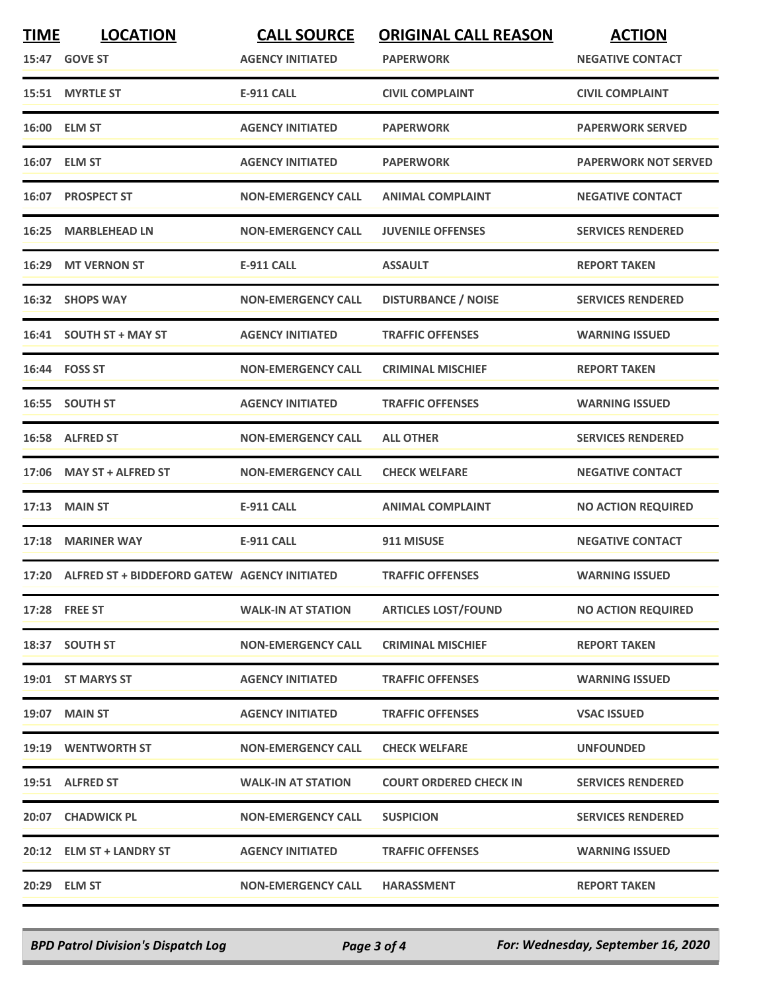| <b>TIME</b> | <b>LOCATION</b><br>15:47 GOVE ST                   | <b>CALL SOURCE</b><br><b>AGENCY INITIATED</b> | <b>ORIGINAL CALL REASON</b><br><b>PAPERWORK</b> | <b>ACTION</b><br><b>NEGATIVE CONTACT</b> |
|-------------|----------------------------------------------------|-----------------------------------------------|-------------------------------------------------|------------------------------------------|
|             | 15:51 MYRTLE ST                                    | <b>E-911 CALL</b>                             | <b>CIVIL COMPLAINT</b>                          | <b>CIVIL COMPLAINT</b>                   |
|             | 16:00 ELM ST                                       | <b>AGENCY INITIATED</b>                       | <b>PAPERWORK</b>                                | <b>PAPERWORK SERVED</b>                  |
|             | 16:07 ELM ST                                       | <b>AGENCY INITIATED</b>                       | <b>PAPERWORK</b>                                | <b>PAPERWORK NOT SERVED</b>              |
|             | 16:07 PROSPECT ST                                  | <b>NON-EMERGENCY CALL</b>                     | <b>ANIMAL COMPLAINT</b>                         | <b>NEGATIVE CONTACT</b>                  |
|             | 16:25 MARBLEHEAD LN                                | <b>NON-EMERGENCY CALL</b>                     | <b>JUVENILE OFFENSES</b>                        | <b>SERVICES RENDERED</b>                 |
| 16:29       | <b>MT VERNON ST</b>                                | <b>E-911 CALL</b>                             | <b>ASSAULT</b>                                  | <b>REPORT TAKEN</b>                      |
|             | 16:32 SHOPS WAY                                    | <b>NON-EMERGENCY CALL</b>                     | <b>DISTURBANCE / NOISE</b>                      | <b>SERVICES RENDERED</b>                 |
|             | 16:41 SOUTH ST + MAY ST                            | <b>AGENCY INITIATED</b>                       | <b>TRAFFIC OFFENSES</b>                         | <b>WARNING ISSUED</b>                    |
|             | 16:44 FOSS ST                                      | <b>NON-EMERGENCY CALL</b>                     | <b>CRIMINAL MISCHIEF</b>                        | <b>REPORT TAKEN</b>                      |
|             | 16:55 SOUTH ST                                     | <b>AGENCY INITIATED</b>                       | <b>TRAFFIC OFFENSES</b>                         | <b>WARNING ISSUED</b>                    |
|             | 16:58 ALFRED ST                                    | <b>NON-EMERGENCY CALL</b>                     | <b>ALL OTHER</b>                                | <b>SERVICES RENDERED</b>                 |
|             | 17:06 MAY ST + ALFRED ST                           | <b>NON-EMERGENCY CALL</b>                     | <b>CHECK WELFARE</b>                            | <b>NEGATIVE CONTACT</b>                  |
| 17:13       | <b>MAIN ST</b>                                     | <b>E-911 CALL</b>                             | <b>ANIMAL COMPLAINT</b>                         | <b>NO ACTION REQUIRED</b>                |
|             | 17:18 MARINER WAY                                  | <b>E-911 CALL</b>                             | 911 MISUSE                                      | <b>NEGATIVE CONTACT</b>                  |
|             | 17:20 ALFRED ST + BIDDEFORD GATEW AGENCY INITIATED |                                               | <b>TRAFFIC OFFENSES</b>                         | <b>WARNING ISSUED</b>                    |
|             | 17:28 FREE ST                                      | <b>WALK-IN AT STATION</b>                     | <b>ARTICLES LOST/FOUND</b>                      | <b>NO ACTION REQUIRED</b>                |
|             | 18:37 SOUTH ST                                     | <b>NON-EMERGENCY CALL</b>                     | <b>CRIMINAL MISCHIEF</b>                        | <b>REPORT TAKEN</b>                      |
|             | 19:01 ST MARYS ST                                  | <b>AGENCY INITIATED</b>                       | <b>TRAFFIC OFFENSES</b>                         | <b>WARNING ISSUED</b>                    |
|             | 19:07 MAIN ST                                      | <b>AGENCY INITIATED</b>                       | <b>TRAFFIC OFFENSES</b>                         | <b>VSAC ISSUED</b>                       |
|             | 19:19 WENTWORTH ST                                 | <b>NON-EMERGENCY CALL</b>                     | <b>CHECK WELFARE</b>                            | <b>UNFOUNDED</b>                         |
|             | 19:51 ALFRED ST                                    | <b>WALK-IN AT STATION</b>                     | <b>COURT ORDERED CHECK IN</b>                   | <b>SERVICES RENDERED</b>                 |
|             | 20:07 CHADWICK PL                                  | <b>NON-EMERGENCY CALL</b>                     | <b>SUSPICION</b>                                | <b>SERVICES RENDERED</b>                 |
|             | 20:12 ELM ST + LANDRY ST                           | <b>AGENCY INITIATED</b>                       | <b>TRAFFIC OFFENSES</b>                         | <b>WARNING ISSUED</b>                    |
|             | 20:29 ELM ST                                       | <b>NON-EMERGENCY CALL</b>                     | <b>HARASSMENT</b>                               | <b>REPORT TAKEN</b>                      |

*BPD Patrol Division's Dispatch Log Page 3 of 4 For: Wednesday, September 16, 2020*